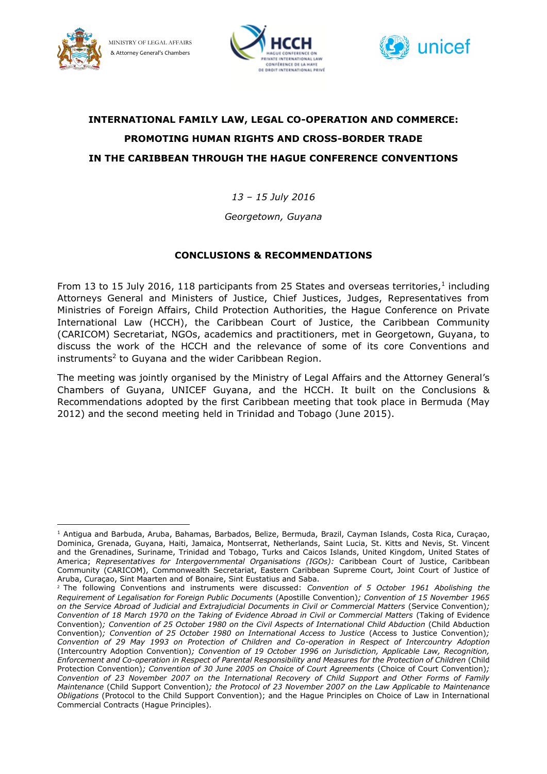

MINISTRY OF LEGAL AFFAIRS & Attorney General's Chambers





# **INTERNATIONAL FAMILY LAW, LEGAL CO-OPERATION AND COMMERCE: PROMOTING HUMAN RIGHTS AND CROSS-BORDER TRADE IN THE CARIBBEAN THROUGH THE HAGUE CONFERENCE CONVENTIONS**

*13 – 15 July 2016*

*Georgetown, Guyana*

## **CONCLUSIONS & RECOMMENDATIONS**

From 13 to 15 July 2016, 118 participants from 25 States and overseas territories, $1$  including Attorneys General and Ministers of Justice, Chief Justices, Judges, Representatives from Ministries of Foreign Affairs, Child Protection Authorities, the Hague Conference on Private International Law (HCCH), the Caribbean Court of Justice, the Caribbean Community (CARICOM) Secretariat, NGOs, academics and practitioners, met in Georgetown, Guyana, to discuss the work of the HCCH and the relevance of some of its core Conventions and instruments<sup>2</sup> to Guyana and the wider Caribbean Region.

The meeting was jointly organised by the Ministry of Legal Affairs and the Attorney General's Chambers of Guyana, UNICEF Guyana, and the HCCH. It built on the Conclusions & Recommendations adopted by the first Caribbean meeting that took place in Bermuda (May 2012) and the second meeting held in Trinidad and Tobago (June 2015).

 $\overline{a}$ <sup>1</sup> Antigua and Barbuda, Aruba, Bahamas, Barbados, Belize, Bermuda, Brazil, Cayman Islands, Costa Rica, Curaçao, Dominica, Grenada, Guyana, Haiti, Jamaica, Montserrat, Netherlands, Saint Lucia, St. Kitts and Nevis, St. Vincent and the Grenadines, Suriname, Trinidad and Tobago, Turks and Caicos Islands, United Kingdom, United States of America; *Representatives for Intergovernmental Organisations (IGOs):* Caribbean Court of Justice, Caribbean Community (CARICOM), Commonwealth Secretariat, Eastern Caribbean Supreme Court, Joint Court of Justice of Aruba, Curaçao, Sint Maarten and of Bonaire, Sint Eustatius and Saba.

<sup>2</sup> The following Conventions and instruments were discussed: *Convention of 5 October 1961 Abolishing the Requirement of Legalisation for Foreign Public Documents* (Apostille Convention)*; Convention of 15 November 1965*  on the Service Abroad of Judicial and Extrajudicial Documents in Civil or Commercial Matters (Service Convention); *Convention of 18 March 1970 on the Taking of Evidence Abroad in Civil or Commercial Matters* (Taking of Evidence Convention)*; Convention of 25 October 1980 on the Civil Aspects of International Child Abduction* (Child Abduction Convention)*; Convention of 25 October 1980 on International Access to Justice* (Access to Justice Convention)*; Convention of 29 May 1993 on Protection of Children and Co-operation in Respect of Intercountry Adoption*  (Intercountry Adoption Convention)*; Convention of 19 October 1996 on Jurisdiction, Applicable Law, Recognition, Enforcement and Co-operation in Respect of Parental Responsibility and Measures for the Protection of Children* (Child Protection Convention)*; Convention of 30 June 2005 on Choice of Court Agreements* (Choice of Court Convention)*; Convention of 23 November 2007 on the International Recovery of Child Support and Other Forms of Family Maintenance* (Child Support Convention)*; the Protocol of 23 November 2007 on the Law Applicable to Maintenance Obligations* (Protocol to the Child Support Convention); and the Hague Principles on Choice of Law in International Commercial Contracts (Hague Principles)*.*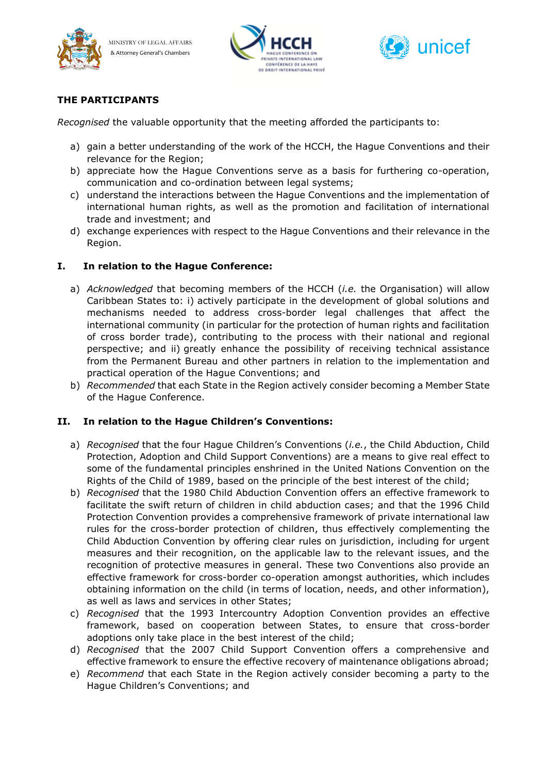





## **THE PARTICIPANTS**

*Recognised* the valuable opportunity that the meeting afforded the participants to:

- a) gain a better understanding of the work of the HCCH, the Hague Conventions and their relevance for the Region;
- b) appreciate how the Hague Conventions serve as a basis for furthering co-operation, communication and co-ordination between legal systems;
- c) understand the interactions between the Hague Conventions and the implementation of international human rights, as well as the promotion and facilitation of international trade and investment; and
- d) exchange experiences with respect to the Hague Conventions and their relevance in the Region.

#### **I. In relation to the Hague Conference:**

- a) *Acknowledged* that becoming members of the HCCH (*i.e.* the Organisation) will allow Caribbean States to: i) actively participate in the development of global solutions and mechanisms needed to address cross-border legal challenges that affect the international community (in particular for the protection of human rights and facilitation of cross border trade), contributing to the process with their national and regional perspective; and ii) greatly enhance the possibility of receiving technical assistance from the Permanent Bureau and other partners in relation to the implementation and practical operation of the Hague Conventions; and
- b) *Recommended* that each State in the Region actively consider becoming a Member State of the Hague Conference.

#### **II. In relation to the Hague Children's Conventions:**

- a) *Recognised* that the four Hague Children's Conventions (*i.e.*, the Child Abduction, Child Protection, Adoption and Child Support Conventions) are a means to give real effect to some of the fundamental principles enshrined in the United Nations Convention on the Rights of the Child of 1989, based on the principle of the best interest of the child;
- b) *Recognised* that the 1980 Child Abduction Convention offers an effective framework to facilitate the swift return of children in child abduction cases; and that the 1996 Child Protection Convention provides a comprehensive framework of private international law rules for the cross-border protection of children, thus effectively complementing the Child Abduction Convention by offering clear rules on jurisdiction, including for urgent measures and their recognition, on the applicable law to the relevant issues, and the recognition of protective measures in general. These two Conventions also provide an effective framework for cross-border co-operation amongst authorities, which includes obtaining information on the child (in terms of location, needs, and other information), as well as laws and services in other States;
- c) *Recognised* that the 1993 Intercountry Adoption Convention provides an effective framework, based on cooperation between States, to ensure that cross-border adoptions only take place in the best interest of the child;
- d) *Recognised* that the 2007 Child Support Convention offers a comprehensive and effective framework to ensure the effective recovery of maintenance obligations abroad;
- e) *Recommend* that each State in the Region actively consider becoming a party to the Hague Children's Conventions; and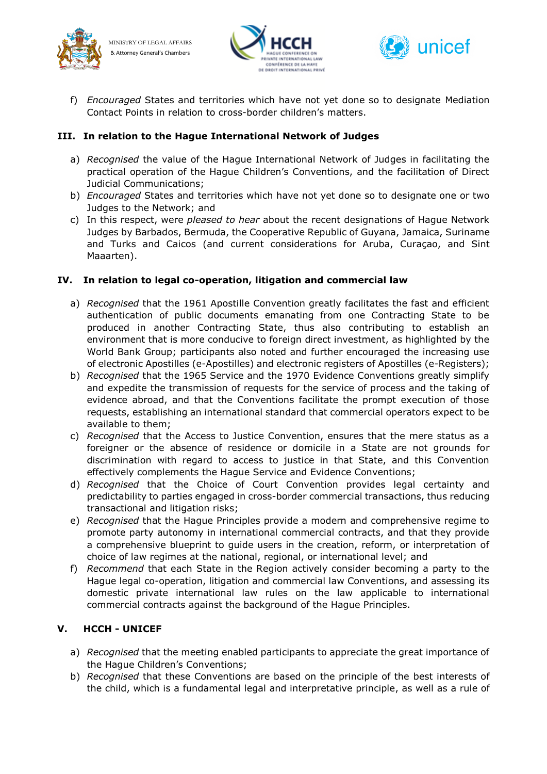



f) *Encouraged* States and territories which have not yet done so to designate Mediation Contact Points in relation to cross-border children's matters.

## **III. In relation to the Hague International Network of Judges**

- a) *Recognised* the value of the Hague International Network of Judges in facilitating the practical operation of the Hague Children's Conventions, and the facilitation of Direct Judicial Communications;
- b) *Encouraged* States and territories which have not yet done so to designate one or two Judges to the Network; and
- c) In this respect, were *pleased to hear* about the recent designations of Hague Network Judges by Barbados, Bermuda, the Cooperative Republic of Guyana, Jamaica, Suriname and Turks and Caicos (and current considerations for Aruba, Curaçao, and Sint Maaarten).

#### **IV. In relation to legal co-operation, litigation and commercial law**

- a) *Recognised* that the 1961 Apostille Convention greatly facilitates the fast and efficient authentication of public documents emanating from one Contracting State to be produced in another Contracting State, thus also contributing to establish an environment that is more conducive to foreign direct investment, as highlighted by the World Bank Group; participants also noted and further encouraged the increasing use of electronic Apostilles (e-Apostilles) and electronic registers of Apostilles (e-Registers);
- b) *Recognised* that the 1965 Service and the 1970 Evidence Conventions greatly simplify and expedite the transmission of requests for the service of process and the taking of evidence abroad, and that the Conventions facilitate the prompt execution of those requests, establishing an international standard that commercial operators expect to be available to them;
- c) *Recognised* that the Access to Justice Convention, ensures that the mere status as a foreigner or the absence of residence or domicile in a State are not grounds for discrimination with regard to access to justice in that State, and this Convention effectively complements the Hague Service and Evidence Conventions;
- d) *Recognised* that the Choice of Court Convention provides legal certainty and predictability to parties engaged in cross-border commercial transactions, thus reducing transactional and litigation risks;
- e) *Recognised* that the Hague Principles provide a modern and comprehensive regime to promote party autonomy in international commercial contracts, and that they provide a comprehensive blueprint to guide users in the creation, reform, or interpretation of choice of law regimes at the national, regional, or international level; and
- f) *Recommend* that each State in the Region actively consider becoming a party to the Hague legal co-operation, litigation and commercial law Conventions, and assessing its domestic private international law rules on the law applicable to international commercial contracts against the background of the Hague Principles.

### **V. HCCH - UNICEF**

- a) *Recognised* that the meeting enabled participants to appreciate the great importance of the Hague Children's Conventions;
- b) *Recognised* that these Conventions are based on the principle of the best interests of the child, which is a fundamental legal and interpretative principle, as well as a rule of